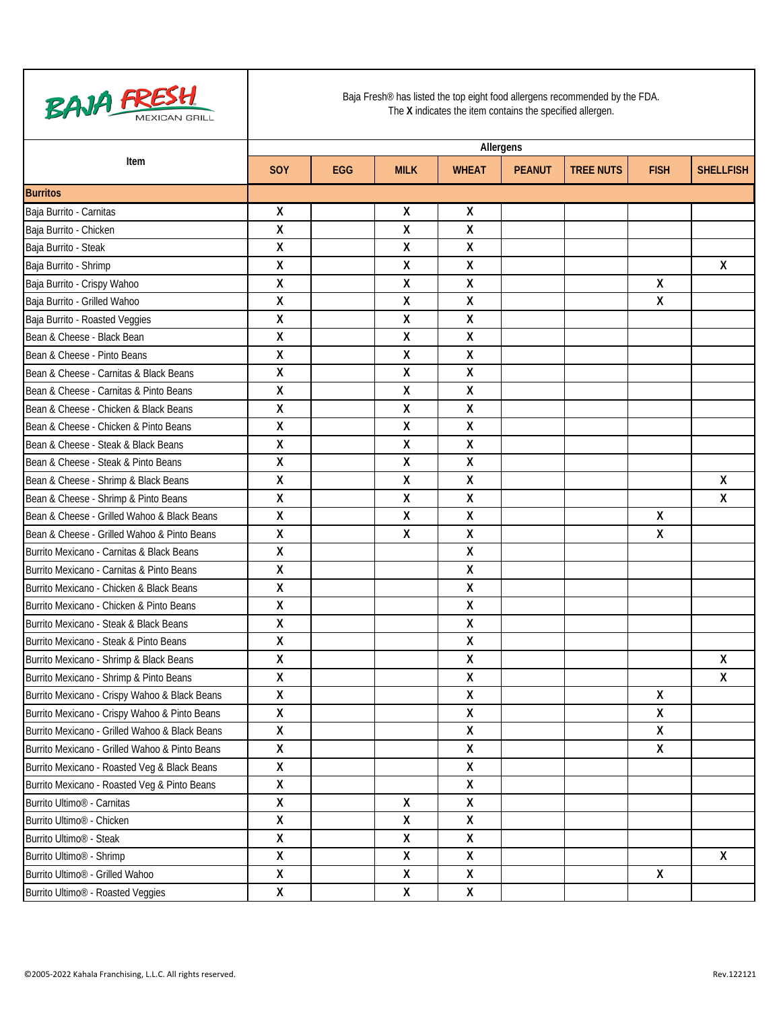

|                                                | Allergens          |            |             |                           |               |                  |              |                    |
|------------------------------------------------|--------------------|------------|-------------|---------------------------|---------------|------------------|--------------|--------------------|
| Item                                           | <b>SOY</b>         | <b>EGG</b> | <b>MILK</b> | <b>WHEAT</b>              | <b>PEANUT</b> | <b>TREE NUTS</b> | <b>FISH</b>  | <b>SHELLFISH</b>   |
| <b>Burritos</b>                                |                    |            |             |                           |               |                  |              |                    |
| Baja Burrito - Carnitas                        | X                  |            | χ           | Χ                         |               |                  |              |                    |
| Baja Burrito - Chicken                         | $\pmb{\mathsf{X}}$ |            | Χ           | χ                         |               |                  |              |                    |
| Baja Burrito - Steak                           | Χ                  |            | X           | $\mathsf{X}$              |               |                  |              |                    |
| Baja Burrito - Shrimp                          | χ                  |            | Χ           | χ                         |               |                  |              | χ                  |
| Baja Burrito - Crispy Wahoo                    | $\pmb{\mathsf{X}}$ |            | Χ           | χ                         |               |                  | χ            |                    |
| Baja Burrito - Grilled Wahoo                   | $\pmb{\mathsf{X}}$ |            | Χ           | $\mathsf{X}$              |               |                  | Χ            |                    |
| Baja Burrito - Roasted Veggies                 | $\pmb{\mathsf{X}}$ |            | Χ           | $\boldsymbol{\mathsf{X}}$ |               |                  |              |                    |
| Bean & Cheese - Black Bean                     | X                  |            | χ           | X                         |               |                  |              |                    |
| Bean & Cheese - Pinto Beans                    | $\pmb{\mathsf{X}}$ |            | X           | $\boldsymbol{\mathsf{X}}$ |               |                  |              |                    |
| Bean & Cheese - Carnitas & Black Beans         | $\pmb{\mathsf{X}}$ |            | Χ           | $\boldsymbol{\mathsf{X}}$ |               |                  |              |                    |
| Bean & Cheese - Carnitas & Pinto Beans         | X                  |            | χ           | X                         |               |                  |              |                    |
| Bean & Cheese - Chicken & Black Beans          | $\pmb{\mathsf{X}}$ |            | X           | $\mathsf{X}$              |               |                  |              |                    |
| Bean & Cheese - Chicken & Pinto Beans          | $\pmb{\mathsf{X}}$ |            | Χ           | $\boldsymbol{\mathsf{X}}$ |               |                  |              |                    |
| Bean & Cheese - Steak & Black Beans            | X                  |            | Χ           | $\pmb{\chi}$              |               |                  |              |                    |
| Bean & Cheese - Steak & Pinto Beans            | $\pmb{\mathsf{X}}$ |            | X           | $\pmb{\mathsf{X}}$        |               |                  |              |                    |
| Bean & Cheese - Shrimp & Black Beans           | χ                  |            | Χ           | $\pmb{\chi}$              |               |                  |              | χ                  |
| Bean & Cheese - Shrimp & Pinto Beans           | $\pmb{\mathsf{X}}$ |            | Χ           | χ                         |               |                  |              | $\pmb{\mathsf{X}}$ |
| Bean & Cheese - Grilled Wahoo & Black Beans    | $\pmb{\mathsf{X}}$ |            | X           | $\pmb{\mathsf{X}}$        |               |                  | Χ            |                    |
| Bean & Cheese - Grilled Wahoo & Pinto Beans    | $\pmb{\mathsf{X}}$ |            | Χ           | $\pmb{\chi}$              |               |                  | χ            |                    |
| Burrito Mexicano - Carnitas & Black Beans      | $\pmb{\mathsf{X}}$ |            |             | $\pmb{\chi}$              |               |                  |              |                    |
| Burrito Mexicano - Carnitas & Pinto Beans      | $\pmb{\mathsf{X}}$ |            |             | Χ                         |               |                  |              |                    |
| Burrito Mexicano - Chicken & Black Beans       | X                  |            |             | χ                         |               |                  |              |                    |
| Burrito Mexicano - Chicken & Pinto Beans       | X                  |            |             | χ                         |               |                  |              |                    |
| Burrito Mexicano - Steak & Black Beans         | $\pmb{\mathsf{X}}$ |            |             | Χ                         |               |                  |              |                    |
| Burrito Mexicano - Steak & Pinto Beans         | $\pmb{\mathsf{X}}$ |            |             | $\pmb{\chi}$              |               |                  |              |                    |
| Burrito Mexicano - Shrimp & Black Beans        | $\pmb{\mathsf{X}}$ |            |             | χ                         |               |                  |              | Χ                  |
| Burrito Mexicano - Shrimp & Pinto Beans        | $\pmb{\mathsf{X}}$ |            |             | $\pmb{\mathsf{X}}$        |               |                  |              | X                  |
| Burrito Mexicano - Crispy Wahoo & Black Beans  | $\pmb{\mathsf{X}}$ |            |             | $\pmb{\chi}$              |               |                  | $\mathsf{X}$ |                    |
| Burrito Mexicano - Crispy Wahoo & Pinto Beans  | Χ                  |            |             | X                         |               |                  | Χ            |                    |
| Burrito Mexicano - Grilled Wahoo & Black Beans | $\pmb{\mathsf{X}}$ |            |             | Χ                         |               |                  | Χ            |                    |
| Burrito Mexicano - Grilled Wahoo & Pinto Beans | $\pmb{\mathsf{X}}$ |            |             | X                         |               |                  | X            |                    |
| Burrito Mexicano - Roasted Veg & Black Beans   | X                  |            |             | $\pmb{\mathsf{X}}$        |               |                  |              |                    |
| Burrito Mexicano - Roasted Veg & Pinto Beans   | X                  |            |             | $\boldsymbol{\mathsf{X}}$ |               |                  |              |                    |
| Burrito Ultimo <sup>®</sup> - Carnitas         | $\pmb{\mathsf{X}}$ |            | Χ           | $\pmb{\mathsf{X}}$        |               |                  |              |                    |
| Burrito Ultimo <sup>®</sup> - Chicken          | X                  |            | χ           | $\pmb{\mathsf{X}}$        |               |                  |              |                    |
| Burrito Ultimo <sup>®</sup> - Steak            | $\pmb{\mathsf{X}}$ |            | χ           | $\boldsymbol{\mathsf{X}}$ |               |                  |              |                    |
| Burrito Ultimo <sup>®</sup> - Shrimp           | X                  |            | χ           | X                         |               |                  |              | X                  |
| Burrito Ultimo <sup>®</sup> - Grilled Wahoo    | X                  |            | Χ           | $\pmb{\mathsf{X}}$        |               |                  | $\mathsf{X}$ |                    |
| Burrito Ultimo <sup>®</sup> - Roasted Veggies  | X                  |            | χ           | X                         |               |                  |              |                    |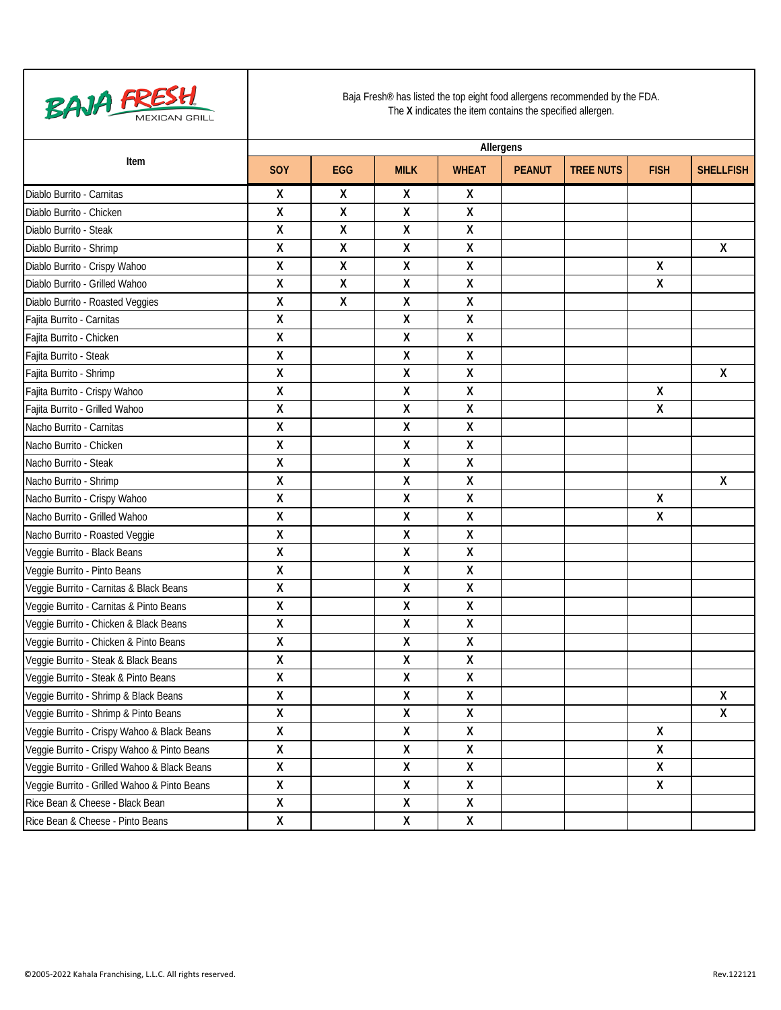

|                                              | Allergens               |            |                         |                           |               |                  |              |                  |  |  |
|----------------------------------------------|-------------------------|------------|-------------------------|---------------------------|---------------|------------------|--------------|------------------|--|--|
| Item                                         | <b>SOY</b>              | <b>EGG</b> | <b>MILK</b>             | <b>WHEAT</b>              | <b>PEANUT</b> | <b>TREE NUTS</b> | <b>FISH</b>  | <b>SHELLFISH</b> |  |  |
| Diablo Burrito - Carnitas                    | X                       | X          | χ                       | X                         |               |                  |              |                  |  |  |
| Diablo Burrito - Chicken                     | χ                       | χ          | Χ                       | $\pmb{\mathsf{X}}$        |               |                  |              |                  |  |  |
| Diablo Burrito - Steak                       | Χ                       | χ          | Χ                       | Χ                         |               |                  |              |                  |  |  |
| Diablo Burrito - Shrimp                      | χ                       | Χ          | Χ                       | $\pmb{\mathsf{X}}$        |               |                  |              | χ                |  |  |
| Diablo Burrito - Crispy Wahoo                | χ                       | χ          | Χ                       | χ                         |               |                  | χ            |                  |  |  |
| Diablo Burrito - Grilled Wahoo               | Χ                       | χ          | Χ                       | Χ                         |               |                  | χ            |                  |  |  |
| Diablo Burrito - Roasted Veggies             | χ                       | χ          | Χ                       | χ                         |               |                  |              |                  |  |  |
| Fajita Burrito - Carnitas                    | χ                       |            | Χ                       | $\pmb{\chi}$              |               |                  |              |                  |  |  |
| Fajita Burrito - Chicken                     | Χ                       |            | Χ                       | $\boldsymbol{\mathsf{X}}$ |               |                  |              |                  |  |  |
| Fajita Burrito - Steak                       | χ                       |            | Χ                       | $\pmb{\chi}$              |               |                  |              |                  |  |  |
| Fajita Burrito - Shrimp                      | Χ                       |            | Χ                       | Χ                         |               |                  |              | χ                |  |  |
| Fajita Burrito - Crispy Wahoo                | Χ                       |            | Χ                       | Χ                         |               |                  | χ            |                  |  |  |
| Fajita Burrito - Grilled Wahoo               | χ                       |            | Χ                       | $\pmb{\chi}$              |               |                  | Χ            |                  |  |  |
| Nacho Burrito - Carnitas                     | Χ                       |            | Χ                       | Χ                         |               |                  |              |                  |  |  |
| Nacho Burrito - Chicken                      | Χ                       |            | Χ                       | $\pmb{\mathsf{X}}$        |               |                  |              |                  |  |  |
| Nacho Burrito - Steak                        | χ                       |            | Χ                       | χ                         |               |                  |              |                  |  |  |
| Nacho Burrito - Shrimp                       | χ                       |            | Χ                       | $\boldsymbol{\mathsf{X}}$ |               |                  |              | Χ                |  |  |
| Nacho Burrito - Crispy Wahoo                 | χ                       |            | Χ                       | χ                         |               |                  | χ            |                  |  |  |
| Nacho Burrito - Grilled Wahoo                | χ                       |            | Χ                       | $\pmb{\mathsf{X}}$        |               |                  | χ            |                  |  |  |
| Nacho Burrito - Roasted Veggie               | Χ                       |            | Χ                       | Χ                         |               |                  |              |                  |  |  |
| Veggie Burrito - Black Beans                 | Χ                       |            | Χ                       | $\pmb{\mathsf{X}}$        |               |                  |              |                  |  |  |
| Veggie Burrito - Pinto Beans                 | χ                       |            | Χ                       | $\pmb{\chi}$              |               |                  |              |                  |  |  |
| Veggie Burrito - Carnitas & Black Beans      | Χ                       |            | Χ                       | χ                         |               |                  |              |                  |  |  |
| Veggie Burrito - Carnitas & Pinto Beans      | Χ                       |            | Χ                       | $\pmb{\mathsf{X}}$        |               |                  |              |                  |  |  |
| Veggie Burrito - Chicken & Black Beans       | χ                       |            | Χ                       | χ                         |               |                  |              |                  |  |  |
| Veggie Burrito - Chicken & Pinto Beans       | χ                       |            | Χ                       | χ                         |               |                  |              |                  |  |  |
| Veggie Burrito - Steak & Black Beans         | χ                       |            | Χ                       | Χ                         |               |                  |              |                  |  |  |
| Veggie Burrito - Steak & Pinto Beans         | Χ                       |            | Χ                       | Χ                         |               |                  |              |                  |  |  |
| Veggie Burrito - Shrimp & Black Beans        | Χ                       |            | Χ                       | $\boldsymbol{\mathsf{X}}$ |               |                  |              | Χ                |  |  |
| Veggie Burrito - Shrimp & Pinto Beans        | Χ                       |            | Χ                       | X                         |               |                  |              | X                |  |  |
| Veggie Burrito - Crispy Wahoo & Black Beans  | $\overline{\mathsf{X}}$ |            | $\overline{\mathsf{x}}$ | $\overline{X}$            |               |                  | Χ            |                  |  |  |
| Veggie Burrito - Crispy Wahoo & Pinto Beans  | Χ                       |            | Χ                       | X                         |               |                  | X            |                  |  |  |
| Veggie Burrito - Grilled Wahoo & Black Beans | χ                       |            | χ                       | $\boldsymbol{X}$          |               |                  | $\mathsf{X}$ |                  |  |  |
| Veggie Burrito - Grilled Wahoo & Pinto Beans | χ                       |            | Χ                       | $\pmb{\mathsf{X}}$        |               |                  | X            |                  |  |  |
| Rice Bean & Cheese - Black Bean              | X                       |            | X                       | X                         |               |                  |              |                  |  |  |
| Rice Bean & Cheese - Pinto Beans             | Χ                       |            | Χ                       | X                         |               |                  |              |                  |  |  |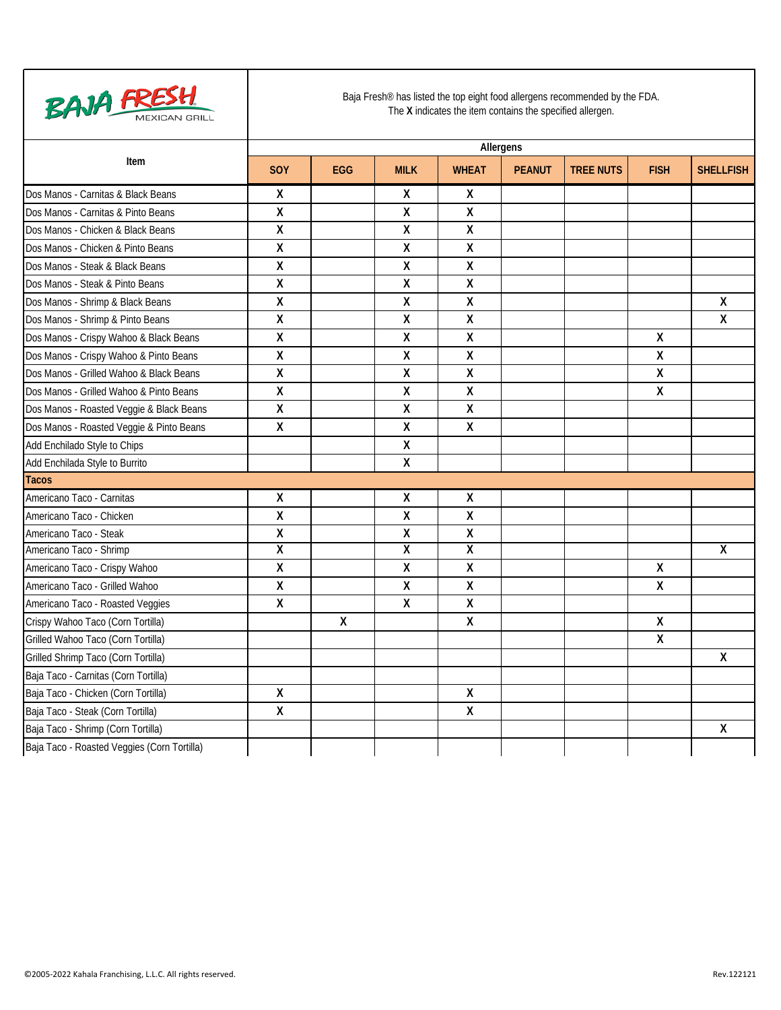

|                                             |                         | Allergens  |                    |                           |               |                  |                         |                  |  |  |  |
|---------------------------------------------|-------------------------|------------|--------------------|---------------------------|---------------|------------------|-------------------------|------------------|--|--|--|
| Item                                        | SOY                     | <b>EGG</b> | <b>MILK</b>        | <b>WHEAT</b>              | <b>PEANUT</b> | <b>TREE NUTS</b> | <b>FISH</b>             | <b>SHELLFISH</b> |  |  |  |
| Dos Manos - Carnitas & Black Beans          | X                       |            | χ                  | $\mathsf{X}$              |               |                  |                         |                  |  |  |  |
| Dos Manos - Carnitas & Pinto Beans          | $\pmb{\mathsf{X}}$      |            | $\overline{X}$     | Χ                         |               |                  |                         |                  |  |  |  |
| Dos Manos - Chicken & Black Beans           | $\pmb{\mathsf{X}}$      |            | $\pmb{\chi}$       | X                         |               |                  |                         |                  |  |  |  |
| Dos Manos - Chicken & Pinto Beans           | $\pmb{\mathsf{X}}$      |            | Χ                  | X                         |               |                  |                         |                  |  |  |  |
| Dos Manos - Steak & Black Beans             | $\pmb{\mathsf{X}}$      |            | $\pmb{\mathsf{X}}$ | $\pmb{\chi}$              |               |                  |                         |                  |  |  |  |
| Dos Manos - Steak & Pinto Beans             | $\overline{X}$          |            | Χ                  | $\boldsymbol{\mathsf{X}}$ |               |                  |                         |                  |  |  |  |
| Dos Manos - Shrimp & Black Beans            | $\pmb{\mathsf{X}}$      |            | Χ                  | Χ                         |               |                  |                         | X                |  |  |  |
| Dos Manos - Shrimp & Pinto Beans            | $\overline{X}$          |            | Χ                  | X                         |               |                  |                         | $\overline{X}$   |  |  |  |
| Dos Manos - Crispy Wahoo & Black Beans      | $\pmb{\mathsf{X}}$      |            | Χ                  | $\pmb{\mathsf{X}}$        |               |                  | X                       |                  |  |  |  |
| Dos Manos - Crispy Wahoo & Pinto Beans      | $\pmb{\mathsf{X}}$      |            | Χ                  | Χ                         |               |                  | X                       |                  |  |  |  |
| Dos Manos - Grilled Wahoo & Black Beans     | $\pmb{\mathsf{X}}$      |            | X                  | $\boldsymbol{\mathsf{X}}$ |               |                  | $\overline{\mathsf{x}}$ |                  |  |  |  |
| Dos Manos - Grilled Wahoo & Pinto Beans     | $\pmb{\mathsf{X}}$      |            | $\pmb{\mathsf{X}}$ | $\pmb{\mathsf{X}}$        |               |                  | $\pmb{\mathsf{X}}$      |                  |  |  |  |
| Dos Manos - Roasted Veggie & Black Beans    | $\pmb{\mathsf{X}}$      |            | Χ                  | $\pmb{\chi}$              |               |                  |                         |                  |  |  |  |
| Dos Manos - Roasted Veggie & Pinto Beans    | $\pmb{\mathsf{X}}$      |            | $\pmb{\mathsf{X}}$ | $\mathsf{X}$              |               |                  |                         |                  |  |  |  |
| Add Enchilado Style to Chips                |                         |            | $\pmb{\mathsf{X}}$ |                           |               |                  |                         |                  |  |  |  |
| Add Enchilada Style to Burrito              |                         |            | $\pmb{\mathsf{X}}$ |                           |               |                  |                         |                  |  |  |  |
| <b>Tacos</b>                                |                         |            |                    |                           |               |                  |                         |                  |  |  |  |
| Americano Taco - Carnitas                   | X                       |            | $\pmb{\mathsf{X}}$ | $\mathsf{X}$              |               |                  |                         |                  |  |  |  |
| Americano Taco - Chicken                    | $\pmb{\mathsf{X}}$      |            | Χ                  | Χ                         |               |                  |                         |                  |  |  |  |
| Americano Taco - Steak                      | $\pmb{\mathsf{X}}$      |            | $\pmb{\mathsf{X}}$ | Χ                         |               |                  |                         |                  |  |  |  |
| Americano Taco - Shrimp                     | $\overline{\mathsf{X}}$ |            | χ                  | X                         |               |                  |                         | Χ                |  |  |  |
| Americano Taco - Crispy Wahoo               | $\pmb{\mathsf{X}}$      |            | Χ                  | Χ                         |               |                  | Χ                       |                  |  |  |  |
| Americano Taco - Grilled Wahoo              | $\pmb{\mathsf{X}}$      |            | $\pmb{\mathsf{X}}$ | $\pmb{\mathsf{X}}$        |               |                  | $\mathsf{X}$            |                  |  |  |  |
| Americano Taco - Roasted Veggies            | $\pmb{\mathsf{X}}$      |            | $\pmb{\mathsf{X}}$ | Χ                         |               |                  |                         |                  |  |  |  |
| Crispy Wahoo Taco (Corn Tortilla)           |                         | X          |                    | X                         |               |                  | $\pmb{\mathsf{X}}$      |                  |  |  |  |
| Grilled Wahoo Taco (Corn Tortilla)          |                         |            |                    |                           |               |                  | $\pmb{\chi}$            |                  |  |  |  |
| Grilled Shrimp Taco (Corn Tortilla)         |                         |            |                    |                           |               |                  |                         | Χ                |  |  |  |
| Baja Taco - Carnitas (Corn Tortilla)        |                         |            |                    |                           |               |                  |                         |                  |  |  |  |
| Baja Taco - Chicken (Corn Tortilla)         | Χ                       |            |                    | Χ                         |               |                  |                         |                  |  |  |  |
| Baja Taco - Steak (Corn Tortilla)           | $\pmb{\mathsf{X}}$      |            |                    | $\pmb{\chi}$              |               |                  |                         |                  |  |  |  |
| Baja Taco - Shrimp (Corn Tortilla)          |                         |            |                    |                           |               |                  |                         | Χ                |  |  |  |
| Baja Taco - Roasted Veggies (Corn Tortilla) |                         |            |                    |                           |               |                  |                         |                  |  |  |  |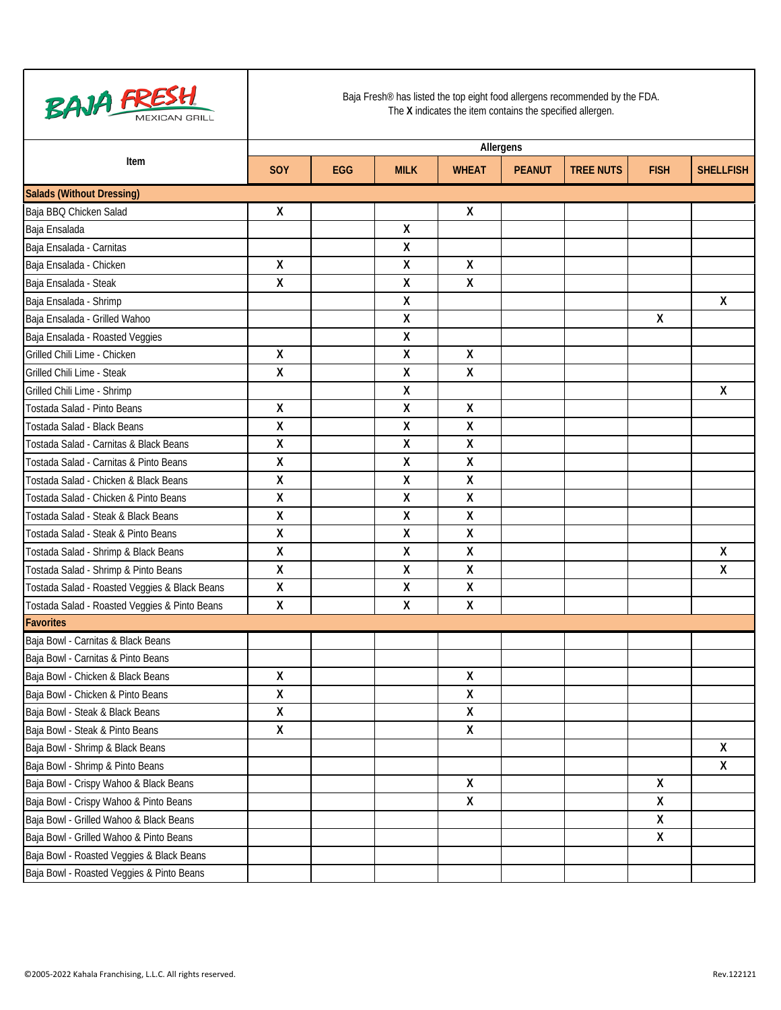

|                                               | Allergens          |            |             |                           |               |                  |             |                    |  |  |
|-----------------------------------------------|--------------------|------------|-------------|---------------------------|---------------|------------------|-------------|--------------------|--|--|
| Item                                          | <b>SOY</b>         | <b>EGG</b> | <b>MILK</b> | <b>WHEAT</b>              | <b>PEANUT</b> | <b>TREE NUTS</b> | <b>FISH</b> | <b>SHELLFISH</b>   |  |  |
| <b>Salads (Without Dressing)</b>              |                    |            |             |                           |               |                  |             |                    |  |  |
| Baja BBQ Chicken Salad                        | X                  |            |             | X                         |               |                  |             |                    |  |  |
| Baja Ensalada                                 |                    |            | χ           |                           |               |                  |             |                    |  |  |
| Baja Ensalada - Carnitas                      |                    |            | χ           |                           |               |                  |             |                    |  |  |
| Baja Ensalada - Chicken                       | X                  |            | Χ           | X                         |               |                  |             |                    |  |  |
| Baja Ensalada - Steak                         | $\pmb{\mathsf{X}}$ |            | Χ           | $\mathsf{X}$              |               |                  |             |                    |  |  |
| Baja Ensalada - Shrimp                        |                    |            | Χ           |                           |               |                  |             | X                  |  |  |
| Baja Ensalada - Grilled Wahoo                 |                    |            | Χ           |                           |               |                  | χ           |                    |  |  |
| Baja Ensalada - Roasted Veggies               |                    |            | Χ           |                           |               |                  |             |                    |  |  |
| Grilled Chili Lime - Chicken                  | $\pmb{\mathsf{X}}$ |            | Χ           | $\pmb{\chi}$              |               |                  |             |                    |  |  |
| Grilled Chili Lime - Steak                    | $\pmb{\mathsf{X}}$ |            | Χ           | $\mathsf{X}$              |               |                  |             |                    |  |  |
| Grilled Chili Lime - Shrimp                   |                    |            | Χ           |                           |               |                  |             | X                  |  |  |
| Tostada Salad - Pinto Beans                   | X                  |            | Χ           | $\boldsymbol{\mathsf{X}}$ |               |                  |             |                    |  |  |
| Tostada Salad - Black Beans                   | $\pmb{\mathsf{X}}$ |            | Χ           | $\pmb{\chi}$              |               |                  |             |                    |  |  |
| Tostada Salad - Carnitas & Black Beans        | $\pmb{\mathsf{X}}$ |            | Χ           | $\boldsymbol{\mathsf{X}}$ |               |                  |             |                    |  |  |
| Tostada Salad - Carnitas & Pinto Beans        | X                  |            | Χ           | $\pmb{\chi}$              |               |                  |             |                    |  |  |
| Tostada Salad - Chicken & Black Beans         | $\pmb{\mathsf{X}}$ |            | Χ           | $\pmb{\chi}$              |               |                  |             |                    |  |  |
| Tostada Salad - Chicken & Pinto Beans         | $\pmb{\mathsf{X}}$ |            | Χ           | $\mathsf{X}$              |               |                  |             |                    |  |  |
| Tostada Salad - Steak & Black Beans           | X                  |            | Χ           | $\pmb{\chi}$              |               |                  |             |                    |  |  |
| Tostada Salad - Steak & Pinto Beans           | $\pmb{\mathsf{X}}$ |            | Χ           | χ                         |               |                  |             |                    |  |  |
| Tostada Salad - Shrimp & Black Beans          | $\pmb{\mathsf{X}}$ |            | Χ           | $\mathsf{X}$              |               |                  |             | $\pmb{\mathsf{X}}$ |  |  |
| Tostada Salad - Shrimp & Pinto Beans          | $\pmb{\mathsf{X}}$ |            | Χ           | $\pmb{\chi}$              |               |                  |             | Χ                  |  |  |
| Tostada Salad - Roasted Veggies & Black Beans | $\pmb{\mathsf{X}}$ |            | Χ           | χ                         |               |                  |             |                    |  |  |
| Tostada Salad - Roasted Veggies & Pinto Beans | X                  |            | Χ           | $\mathsf{X}$              |               |                  |             |                    |  |  |
| <b>Favorites</b>                              |                    |            |             |                           |               |                  |             |                    |  |  |
| Baja Bowl - Carnitas & Black Beans            |                    |            |             |                           |               |                  |             |                    |  |  |
| Baja Bowl - Carnitas & Pinto Beans            |                    |            |             |                           |               |                  |             |                    |  |  |
| Baja Bowl - Chicken & Black Beans             | X                  |            |             | $\pmb{\chi}$              |               |                  |             |                    |  |  |
| Baja Bowl - Chicken & Pinto Beans             | $\pmb{\mathsf{X}}$ |            |             | $\pmb{\chi}$              |               |                  |             |                    |  |  |
| Baja Bowl - Steak & Black Beans               | Χ                  |            |             | Χ                         |               |                  |             |                    |  |  |
| Baja Bowl - Steak & Pinto Beans               | X                  |            |             | X                         |               |                  |             |                    |  |  |
| Baja Bowl - Shrimp & Black Beans              |                    |            |             |                           |               |                  |             | X                  |  |  |
| Baja Bowl - Shrimp & Pinto Beans              |                    |            |             |                           |               |                  |             | X                  |  |  |
| Baja Bowl - Crispy Wahoo & Black Beans        |                    |            |             | $\mathsf{X}$              |               |                  | X           |                    |  |  |
| Baja Bowl - Crispy Wahoo & Pinto Beans        |                    |            |             | χ                         |               |                  | Χ           |                    |  |  |
| Baja Bowl - Grilled Wahoo & Black Beans       |                    |            |             |                           |               |                  | Χ           |                    |  |  |
| Baja Bowl - Grilled Wahoo & Pinto Beans       |                    |            |             |                           |               |                  | Χ           |                    |  |  |
| Baja Bowl - Roasted Veggies & Black Beans     |                    |            |             |                           |               |                  |             |                    |  |  |
| Baja Bowl - Roasted Veggies & Pinto Beans     |                    |            |             |                           |               |                  |             |                    |  |  |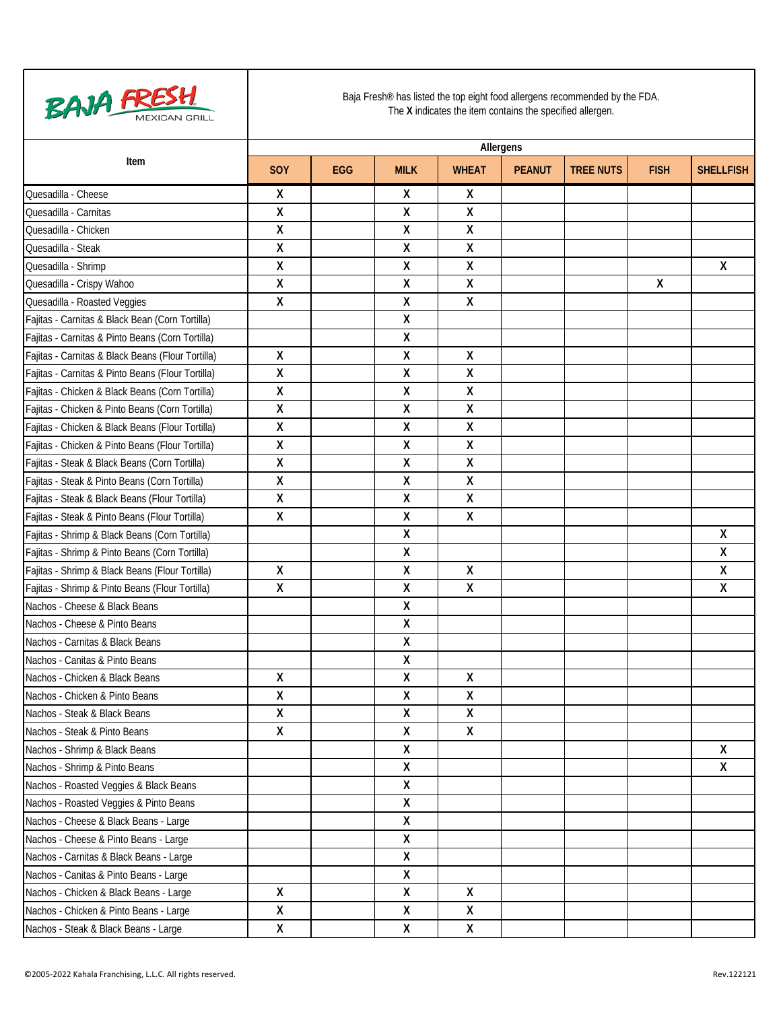

|                                                   | Allergens          |            |             |                    |               |                  |             |                  |  |
|---------------------------------------------------|--------------------|------------|-------------|--------------------|---------------|------------------|-------------|------------------|--|
| Item                                              | <b>SOY</b>         | <b>EGG</b> | <b>MILK</b> | <b>WHEAT</b>       | <b>PEANUT</b> | <b>TREE NUTS</b> | <b>FISH</b> | <b>SHELLFISH</b> |  |
| Quesadilla - Cheese                               | X                  |            | χ           | χ                  |               |                  |             |                  |  |
| Quesadilla - Carnitas                             | X                  |            | Χ           | χ                  |               |                  |             |                  |  |
| Quesadilla - Chicken                              | X                  |            | Χ           | Χ                  |               |                  |             |                  |  |
| Quesadilla - Steak                                | $\pmb{\mathsf{X}}$ |            | Χ           | $\pmb{\mathsf{X}}$ |               |                  |             |                  |  |
| Quesadilla - Shrimp                               | X                  |            | Χ           | Χ                  |               |                  |             | X                |  |
| Quesadilla - Crispy Wahoo                         | Χ                  |            | Χ           | χ                  |               |                  | χ           |                  |  |
| Quesadilla - Roasted Veggies                      | X                  |            | Χ           | Χ                  |               |                  |             |                  |  |
| Fajitas - Carnitas & Black Bean (Corn Tortilla)   |                    |            | χ           |                    |               |                  |             |                  |  |
| Fajitas - Carnitas & Pinto Beans (Corn Tortilla)  |                    |            | Χ           |                    |               |                  |             |                  |  |
| Fajitas - Carnitas & Black Beans (Flour Tortilla) | X                  |            | Χ           | χ                  |               |                  |             |                  |  |
| Fajitas - Carnitas & Pinto Beans (Flour Tortilla) | Χ                  |            | Χ           | Χ                  |               |                  |             |                  |  |
| Fajitas - Chicken & Black Beans (Corn Tortilla)   | X                  |            | Χ           | χ                  |               |                  |             |                  |  |
| Fajitas - Chicken & Pinto Beans (Corn Tortilla)   | X                  |            | Χ           | Χ                  |               |                  |             |                  |  |
| Fajitas - Chicken & Black Beans (Flour Tortilla)  | Χ                  |            | χ           | χ                  |               |                  |             |                  |  |
| Fajitas - Chicken & Pinto Beans (Flour Tortilla)  | X                  |            | Χ           | Χ                  |               |                  |             |                  |  |
| Fajitas - Steak & Black Beans (Corn Tortilla)     | Χ                  |            | Χ           | Χ                  |               |                  |             |                  |  |
| Fajitas - Steak & Pinto Beans (Corn Tortilla)     | $\pmb{\mathsf{X}}$ |            | X           | $\pmb{\mathsf{X}}$ |               |                  |             |                  |  |
| Fajitas - Steak & Black Beans (Flour Tortilla)    | X                  |            | χ           | χ                  |               |                  |             |                  |  |
| Fajitas - Steak & Pinto Beans (Flour Tortilla)    | X                  |            | Χ           | Χ                  |               |                  |             |                  |  |
| Fajitas - Shrimp & Black Beans (Corn Tortilla)    |                    |            | Χ           |                    |               |                  |             | χ                |  |
| Fajitas - Shrimp & Pinto Beans (Corn Tortilla)    |                    |            | χ           |                    |               |                  |             | χ                |  |
| Fajitas - Shrimp & Black Beans (Flour Tortilla)   | $\pmb{\mathsf{X}}$ |            | Χ           | Χ                  |               |                  |             | Χ                |  |
| Fajitas - Shrimp & Pinto Beans (Flour Tortilla)   | $\pmb{\mathsf{X}}$ |            | Χ           | Χ                  |               |                  |             | Χ                |  |
| Nachos - Cheese & Black Beans                     |                    |            | χ           |                    |               |                  |             |                  |  |
| Nachos - Cheese & Pinto Beans                     |                    |            | Χ           |                    |               |                  |             |                  |  |
| Nachos - Carnitas & Black Beans                   |                    |            | Χ           |                    |               |                  |             |                  |  |
| Nachos - Canitas & Pinto Beans                    |                    |            | χ           |                    |               |                  |             |                  |  |
| Nachos - Chicken & Black Beans                    | $\pmb{\mathsf{X}}$ |            | Χ           | Χ                  |               |                  |             |                  |  |
| Nachos - Chicken & Pinto Beans                    | $\pmb{\mathsf{X}}$ |            | Χ           | χ                  |               |                  |             |                  |  |
| Nachos - Steak & Black Beans                      | Χ                  |            | х           | Χ                  |               |                  |             |                  |  |
| Nachos - Steak & Pinto Beans                      | $\pmb{\mathsf{X}}$ |            | Χ           | $\pmb{\mathsf{X}}$ |               |                  |             |                  |  |
| Nachos - Shrimp & Black Beans                     |                    |            | Χ           |                    |               |                  |             | X                |  |
| Nachos - Shrimp & Pinto Beans                     |                    |            | X           |                    |               |                  |             | X                |  |
| Nachos - Roasted Veggies & Black Beans            |                    |            | χ           |                    |               |                  |             |                  |  |
| Nachos - Roasted Veggies & Pinto Beans            |                    |            | Χ           |                    |               |                  |             |                  |  |
| Nachos - Cheese & Black Beans - Large             |                    |            | X           |                    |               |                  |             |                  |  |
| Nachos - Cheese & Pinto Beans - Large             |                    |            | χ           |                    |               |                  |             |                  |  |
| Nachos - Carnitas & Black Beans - Large           |                    |            | χ           |                    |               |                  |             |                  |  |
| Nachos - Canitas & Pinto Beans - Large            |                    |            | X           |                    |               |                  |             |                  |  |
| Nachos - Chicken & Black Beans - Large            | X                  |            | χ           | X                  |               |                  |             |                  |  |
| Nachos - Chicken & Pinto Beans - Large            | Χ                  |            | X           | χ                  |               |                  |             |                  |  |
| Nachos - Steak & Black Beans - Large              | $\pmb{\mathsf{X}}$ |            | X           | $\pmb{\mathsf{X}}$ |               |                  |             |                  |  |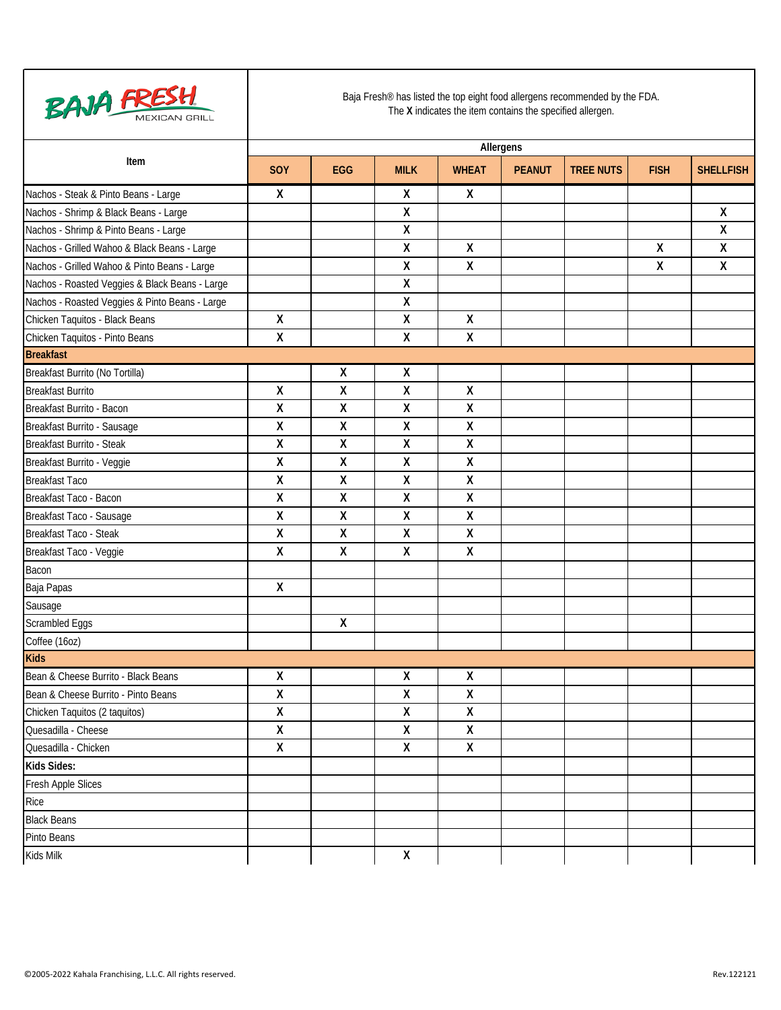| <b>BAJA FRESH</b>                              | Baja Fresh® has listed the top eight food allergens recommended by the FDA.<br>The X indicates the item contains the specified allergen. |            |             |              |               |                  |              |                    |  |  |  |
|------------------------------------------------|------------------------------------------------------------------------------------------------------------------------------------------|------------|-------------|--------------|---------------|------------------|--------------|--------------------|--|--|--|
| Item                                           | Allergens                                                                                                                                |            |             |              |               |                  |              |                    |  |  |  |
|                                                | SOY                                                                                                                                      | <b>EGG</b> | <b>MILK</b> | <b>WHEAT</b> | <b>PEANUT</b> | <b>TREE NUTS</b> | <b>FISH</b>  | <b>SHELLFISH</b>   |  |  |  |
| Nachos - Steak & Pinto Beans - Large           | Χ                                                                                                                                        |            | χ           | X            |               |                  |              |                    |  |  |  |
| Nachos - Shrimp & Black Beans - Large          |                                                                                                                                          |            | Χ           |              |               |                  |              | χ                  |  |  |  |
| Nachos - Shrimp & Pinto Beans - Large          |                                                                                                                                          |            | Χ           |              |               |                  |              | $\pmb{\mathsf{X}}$ |  |  |  |
| Nachos - Grilled Wahoo & Black Beans - Large   |                                                                                                                                          |            | Χ           | χ            |               |                  | $\pmb{\chi}$ | $\pmb{\mathsf{X}}$ |  |  |  |
| Nachos - Grilled Wahoo & Pinto Beans - Large   |                                                                                                                                          |            | Χ           | χ            |               |                  | $\pmb{\chi}$ | X                  |  |  |  |
| Nachos - Roasted Veggies & Black Beans - Large |                                                                                                                                          |            | Χ           |              |               |                  |              |                    |  |  |  |
| Nachos - Roasted Veggies & Pinto Beans - Large |                                                                                                                                          |            | χ           |              |               |                  |              |                    |  |  |  |
| Chicken Taquitos - Black Beans                 | χ                                                                                                                                        |            | Χ           | χ            |               |                  |              |                    |  |  |  |
| Chicken Taquitos - Pinto Beans                 | χ                                                                                                                                        |            | Χ           | χ            |               |                  |              |                    |  |  |  |
| <b>Breakfast</b>                               |                                                                                                                                          |            |             |              |               |                  |              |                    |  |  |  |
| Breakfast Burrito (No Tortilla)                |                                                                                                                                          | χ          | χ           |              |               |                  |              |                    |  |  |  |
| <b>Breakfast Burrito</b>                       | χ                                                                                                                                        | χ          | Χ           | χ            |               |                  |              |                    |  |  |  |
| Breakfast Burrito - Bacon                      | χ                                                                                                                                        | Χ          | Χ           | χ            |               |                  |              |                    |  |  |  |
| Breakfast Burrito - Sausage                    | Χ                                                                                                                                        | Χ          | Χ           | χ            |               |                  |              |                    |  |  |  |
| Breakfast Burrito - Steak                      | χ                                                                                                                                        | Χ          | Χ           | χ            |               |                  |              |                    |  |  |  |
| Breakfast Burrito - Veggie                     | Χ                                                                                                                                        | Χ          | Χ           | χ            |               |                  |              |                    |  |  |  |
| <b>Breakfast Taco</b>                          | Χ                                                                                                                                        | X          | Χ           | χ            |               |                  |              |                    |  |  |  |
| Breakfast Taco - Bacon                         | χ                                                                                                                                        | χ          | χ           | χ            |               |                  |              |                    |  |  |  |
| Breakfast Taco - Sausage                       | χ                                                                                                                                        | Χ          | Χ           | χ            |               |                  |              |                    |  |  |  |
| Breakfast Taco - Steak                         | χ                                                                                                                                        | X          | Χ           | Χ            |               |                  |              |                    |  |  |  |
| Breakfast Taco - Veggie                        | χ                                                                                                                                        | Χ          | Χ           | Χ            |               |                  |              |                    |  |  |  |
| Bacon                                          |                                                                                                                                          |            |             |              |               |                  |              |                    |  |  |  |
| Baja Papas                                     | χ                                                                                                                                        |            |             |              |               |                  |              |                    |  |  |  |
| Sausage                                        |                                                                                                                                          |            |             |              |               |                  |              |                    |  |  |  |
| Scrambled Eggs                                 |                                                                                                                                          | X          |             |              |               |                  |              |                    |  |  |  |
| Coffee (16oz)                                  |                                                                                                                                          |            |             |              |               |                  |              |                    |  |  |  |
| <b>Kids</b>                                    |                                                                                                                                          |            |             |              |               |                  |              |                    |  |  |  |
| Bean & Cheese Burrito - Black Beans            | χ                                                                                                                                        |            | χ           | Χ            |               |                  |              |                    |  |  |  |
| Bean & Cheese Burrito - Pinto Beans            | Χ                                                                                                                                        |            | Χ           | Χ            |               |                  |              |                    |  |  |  |
| Chicken Taquitos (2 taquitos)                  | Χ                                                                                                                                        |            | Χ           | Χ            |               |                  |              |                    |  |  |  |
| Quesadilla - Cheese                            | Χ                                                                                                                                        |            | Χ           | Χ            |               |                  |              |                    |  |  |  |
| Quesadilla - Chicken                           | Χ                                                                                                                                        |            | Χ           | χ            |               |                  |              |                    |  |  |  |
| Kids Sides:                                    |                                                                                                                                          |            |             |              |               |                  |              |                    |  |  |  |
| Fresh Apple Slices                             |                                                                                                                                          |            |             |              |               |                  |              |                    |  |  |  |
| Rice                                           |                                                                                                                                          |            |             |              |               |                  |              |                    |  |  |  |
| <b>Black Beans</b>                             |                                                                                                                                          |            |             |              |               |                  |              |                    |  |  |  |
| Pinto Beans                                    |                                                                                                                                          |            |             |              |               |                  |              |                    |  |  |  |
| Kids Milk                                      |                                                                                                                                          |            | χ           |              |               |                  |              |                    |  |  |  |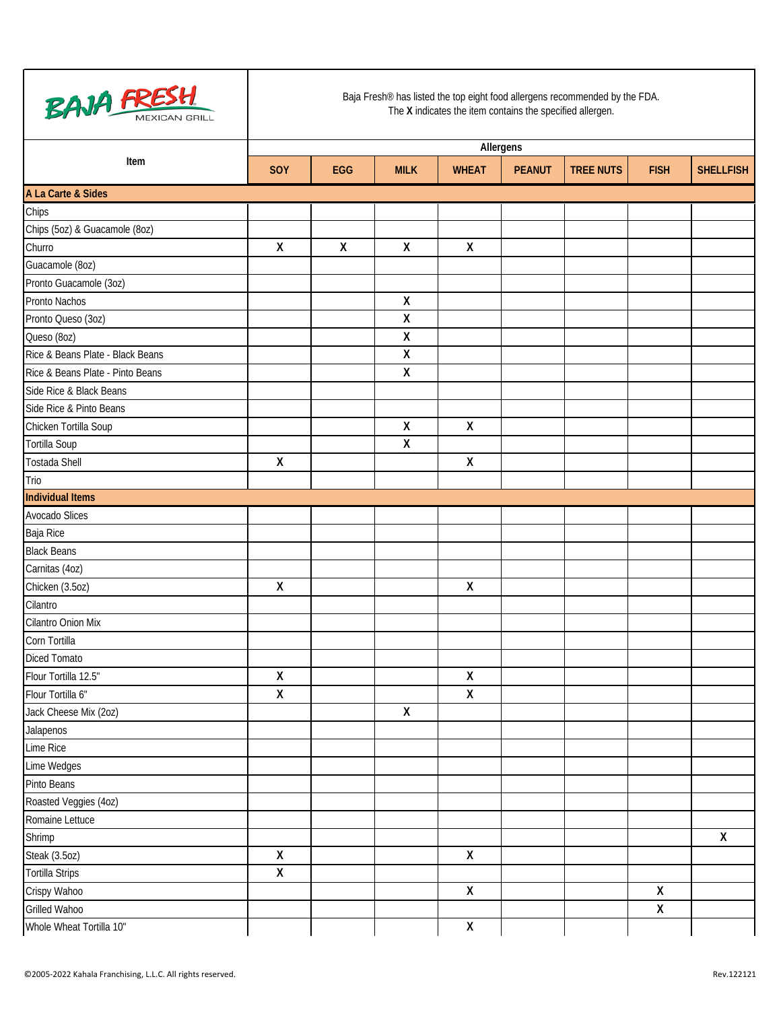

|                                  | Allergens          |              |                    |                    |               |                  |                         |                    |  |
|----------------------------------|--------------------|--------------|--------------------|--------------------|---------------|------------------|-------------------------|--------------------|--|
| Item                             | SOY                | EGG          | <b>MILK</b>        | <b>WHEAT</b>       | <b>PEANUT</b> | <b>TREE NUTS</b> | <b>FISH</b>             | <b>SHELLFISH</b>   |  |
| A La Carte & Sides               |                    |              |                    |                    |               |                  |                         |                    |  |
| Chips                            |                    |              |                    |                    |               |                  |                         |                    |  |
| Chips (5oz) & Guacamole (8oz)    |                    |              |                    |                    |               |                  |                         |                    |  |
| Churro                           | $\mathsf{X}$       | $\mathsf{X}$ | $\pmb{\mathsf{X}}$ | $\mathsf{X}$       |               |                  |                         |                    |  |
| Guacamole (8oz)                  |                    |              |                    |                    |               |                  |                         |                    |  |
| Pronto Guacamole (3oz)           |                    |              |                    |                    |               |                  |                         |                    |  |
| Pronto Nachos                    |                    |              | $\pmb{\mathsf{X}}$ |                    |               |                  |                         |                    |  |
| Pronto Queso (3oz)               |                    |              | $\pmb{\mathsf{X}}$ |                    |               |                  |                         |                    |  |
| Queso (8oz)                      |                    |              | $\pmb{\mathsf{X}}$ |                    |               |                  |                         |                    |  |
| Rice & Beans Plate - Black Beans |                    |              | $\pmb{\mathsf{X}}$ |                    |               |                  |                         |                    |  |
| Rice & Beans Plate - Pinto Beans |                    |              | $\pmb{\mathsf{X}}$ |                    |               |                  |                         |                    |  |
| Side Rice & Black Beans          |                    |              |                    |                    |               |                  |                         |                    |  |
| Side Rice & Pinto Beans          |                    |              |                    |                    |               |                  |                         |                    |  |
| Chicken Tortilla Soup            |                    |              | $\pmb{\mathsf{X}}$ | X                  |               |                  |                         |                    |  |
| <b>Tortilla Soup</b>             |                    |              | $\pmb{\mathsf{X}}$ |                    |               |                  |                         |                    |  |
| <b>Tostada Shell</b>             | $\pmb{\mathsf{X}}$ |              |                    | $\pmb{\mathsf{X}}$ |               |                  |                         |                    |  |
| Trio                             |                    |              |                    |                    |               |                  |                         |                    |  |
| <b>Individual Items</b>          |                    |              |                    |                    |               |                  |                         |                    |  |
| Avocado Slices                   |                    |              |                    |                    |               |                  |                         |                    |  |
| Baja Rice                        |                    |              |                    |                    |               |                  |                         |                    |  |
| <b>Black Beans</b>               |                    |              |                    |                    |               |                  |                         |                    |  |
| Carnitas (4oz)                   |                    |              |                    |                    |               |                  |                         |                    |  |
| Chicken (3.5oz)                  | $\pmb{\mathsf{X}}$ |              |                    | $\pmb{\mathsf{X}}$ |               |                  |                         |                    |  |
| Cilantro                         |                    |              |                    |                    |               |                  |                         |                    |  |
| Cilantro Onion Mix               |                    |              |                    |                    |               |                  |                         |                    |  |
| Corn Tortilla                    |                    |              |                    |                    |               |                  |                         |                    |  |
| <b>Diced Tomato</b>              |                    |              |                    |                    |               |                  |                         |                    |  |
| Flour Tortilla 12.5"             | $\pmb{\mathsf{X}}$ |              |                    | $\pmb{\mathsf{X}}$ |               |                  |                         |                    |  |
| Flour Tortilla 6"                | Χ                  |              |                    | $\pmb{\mathsf{X}}$ |               |                  |                         |                    |  |
| Jack Cheese Mix (2oz)            |                    |              | Χ                  |                    |               |                  |                         |                    |  |
| Jalapenos                        |                    |              |                    |                    |               |                  |                         |                    |  |
| Lime Rice                        |                    |              |                    |                    |               |                  |                         |                    |  |
| Lime Wedges                      |                    |              |                    |                    |               |                  |                         |                    |  |
| Pinto Beans                      |                    |              |                    |                    |               |                  |                         |                    |  |
| Roasted Veggies (4oz)            |                    |              |                    |                    |               |                  |                         |                    |  |
| Romaine Lettuce                  |                    |              |                    |                    |               |                  |                         |                    |  |
| Shrimp                           |                    |              |                    |                    |               |                  |                         | $\pmb{\mathsf{X}}$ |  |
| Steak (3.5oz)                    | $\overline{X}$     |              |                    | $\overline{X}$     |               |                  |                         |                    |  |
| <b>Tortilla Strips</b>           | $\pmb{\mathsf{X}}$ |              |                    |                    |               |                  |                         |                    |  |
| Crispy Wahoo                     |                    |              |                    | $\mathsf{X}$       |               |                  | $\pmb{\mathsf{X}}$      |                    |  |
| Grilled Wahoo                    |                    |              |                    |                    |               |                  | $\overline{\mathsf{X}}$ |                    |  |
| Whole Wheat Tortilla 10"         |                    |              |                    | $\mathsf X$        |               |                  |                         |                    |  |